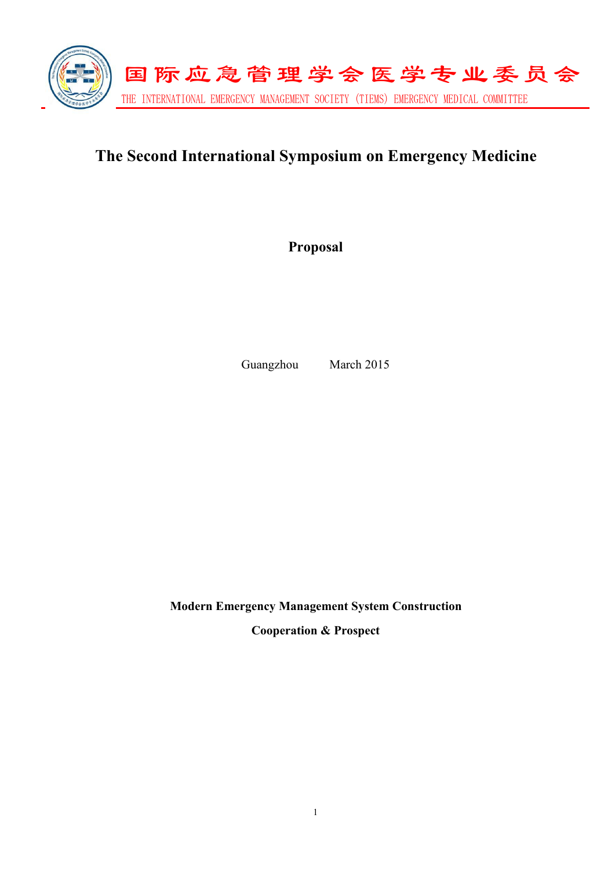

# **The Second International Symposium on Emergency Medicine**

**Proposal**

Guangzhou March 2015

**Modern Emergency Management System Construction Cooperation & Prospect**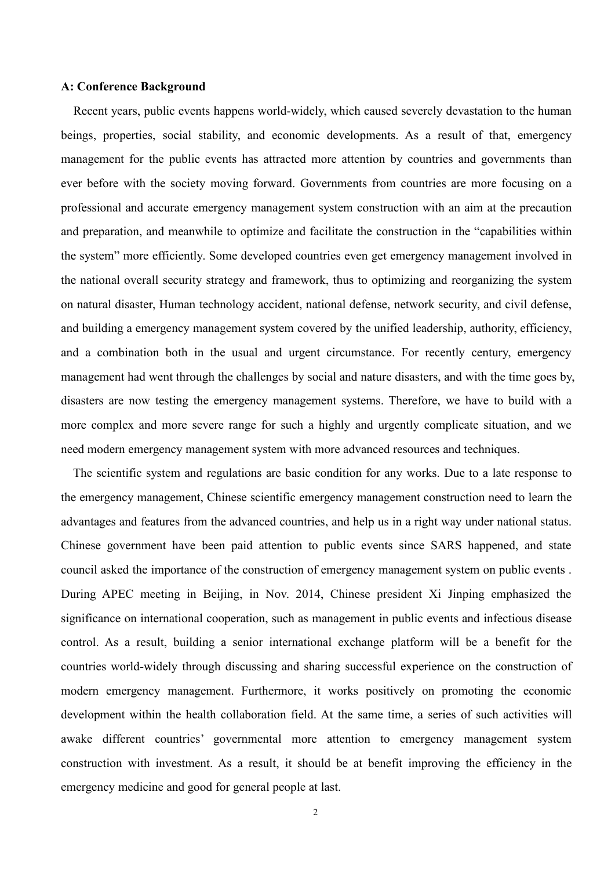#### **A: Conference Background**

Recent years, public events happens world-widely, which caused severely devastation to the human beings, properties, social stability, and economic developments. As a result of that, emergency management for the public events has attracted more attention by countries and governments than ever before with the society moving forward. Governments from countries are more focusing on a professional and accurate emergency management system construction with an aim at the precaution and preparation, and meanwhile to optimize and facilitate the construction in the "capabilities within the system" more efficiently. Some developed countries even get emergency management involved in the national overall security strategy and framework, thus to optimizing and reorganizing the system on natural disaster, Human technology accident, national defense, network security, and civil defense, and building a emergency management system covered by the unified leadership, authority, efficiency, and a combination both in the usual and urgent circumstance. For recently century, emergency management had went through the challenges by social and nature disasters, and with the time goes by, disasters are now testing the emergency management systems. Therefore, we have to build with a more complex and more severe range for such a highly and urgently complicate situation, and we need modern emergency management system with more advanced resources and techniques.

The scientific system and regulations are basic condition for any works. Due to a late response to the emergency management, Chinese scientific emergency management construction need to learn the advantages and features from the advanced countries, and help us in a right way under national status. Chinese government have been paid attention to public events since SARS happened, and state council asked the importance of the construction of emergency management system on public events . During APEC meeting in Beijing, in Nov. 2014, Chinese president Xi Jinping emphasized the significance on international cooperation, such as management in public events and infectious disease control. As a result, building a senior international exchange platform will be a benefit for the countries world-widely through discussing and sharing successful experience on the construction of modern emergency management. Furthermore, it works positively on promoting the economic development within the health collaboration field. At the same time, a series of such activities will awake different countries' governmental more attention to emergency management system construction with investment. As a result, it should be at benefit improving the efficiency in the emergency medicine and good for general people at last.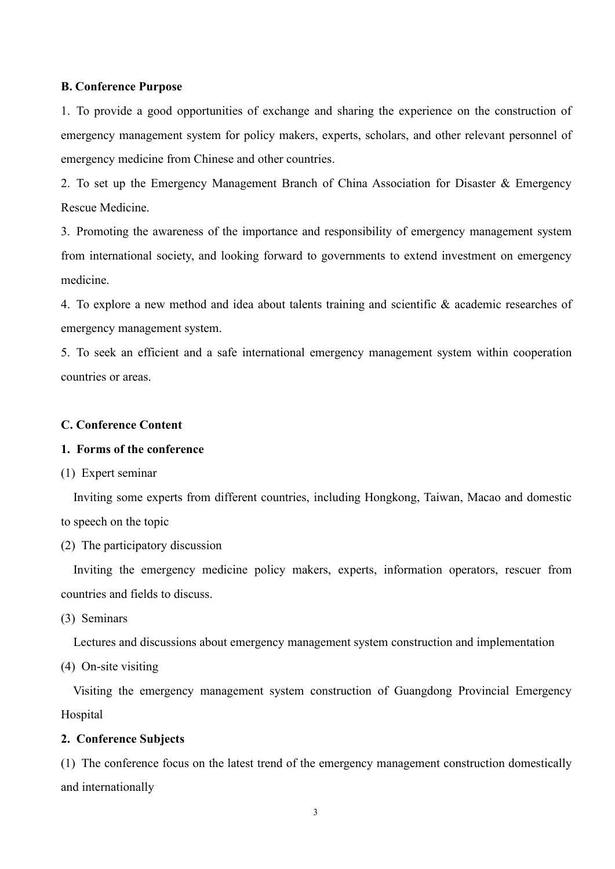#### **B. Conference Purpose**

1. To provide a good opportunities of exchange and sharing the experience on the construction of emergency management system for policy makers, experts, scholars, and other relevant personnel of emergency medicine from Chinese and other countries.

2. To set up the Emergency Management Branch of China Association for Disaster & Emergency Rescue Medicine.

3. Promoting the awareness of the importance and responsibility of emergency management system from international society, and looking forward to governments to extend investment on emergency medicine.

4. To explore a new method and idea about talents training and scientific & academic researches of emergency management system.

5. To seek an efficient and a safe international emergency management system within cooperation countries or areas.

#### **C. Conference Content**

#### **1.** Forms of the conference

(1) Expert seminar

Inviting some experts from different countries, including Hongkong, Taiwan, Macao and domestic to speech on the topic

(2) The participatory discussion

Inviting the emergency medicine policy makers, experts, information operators, rescuer from countries and fields to discuss.

(3) Seminars

Lectures and discussions about emergency management system construction and implementation

(4) On-site visiting

Visiting the emergency management system construction of Guangdong Provincial Emergency Hospital

#### **2. Conference Subjects**

(1) The conference focus on the latest trend of the emergency management construction domestically and internationally

3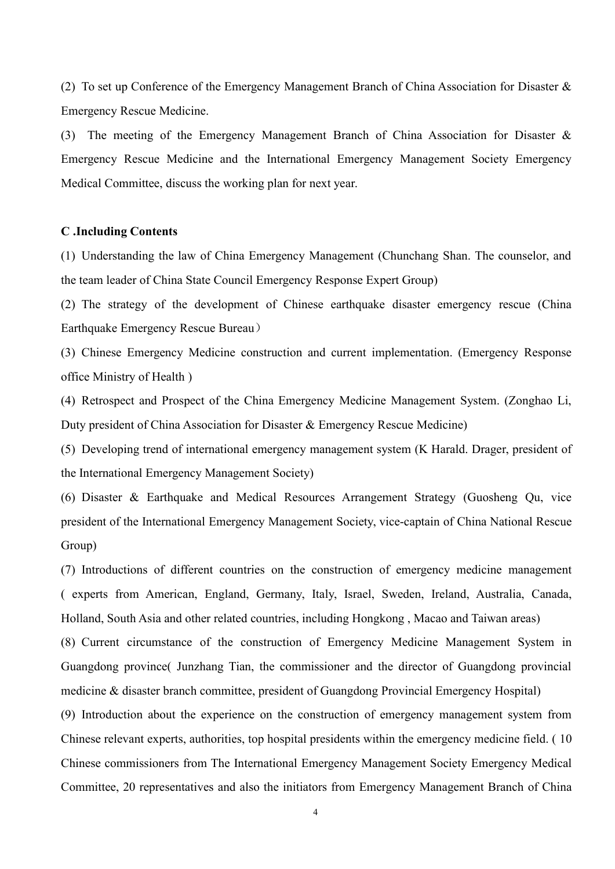(2) To set up Conference of the Emergency Management Branch of China Association for Disaster  $\&$ Emergency Rescue Medicine.

(3) The meeting of the Emergency Management Branch of China Association for Disaster & Emergency Rescue Medicine and the International Emergency Management Society Emergency Medical Committee, discuss the working plan for next year.

#### **C .Including Contents**

(1) Understanding the law of China Emergency Management (Chunchang Shan. The counselor, and the team leader of China State Council Emergency Response Expert Group)

(2) The strategy of the development of Chinese earthquake disaster emergency rescue (China Earthquake Emergency Rescue Bureau)

(3) Chinese Emergency Medicine construction and current implementation. (Emergency Response office Ministry of Health )

(4) Retrospect and Prospect of the China Emergency Medicine Management System. (Zonghao Li, Duty president of China Association for Disaster & Emergency Rescue Medicine)

(5) Developing trend of international emergency management system (K Harald. Drager, president of the International Emergency Management Society)

(6) Disaster & Earthquake and Medical Resources Arrangement Strategy (Guosheng Qu, vice president of the International Emergency Management Society, vice-captain of China National Rescue Group)

(7) Introductions of different countries on the construction of emergency medicine management ( experts from American, England, Germany, Italy, Israel, Sweden, Ireland, Australia, Canada, Holland, South Asia and other related countries, including Hongkong , Macao and Taiwan areas)

(8) Current circumstance of the construction of Emergency Medicine Management System in Guangdong province( Junzhang Tian, the commissioner and the director of Guangdong provincial medicine & disaster branch committee, president of Guangdong Provincial Emergency Hospital)

(9) Introduction about the experience on the construction of emergency management system from Chinese relevant experts, authorities, top hospital presidents within the emergency medicine field. ( 10 Chinese commissioners from The International Emergency Management Society Emergency Medical Committee, 20 representatives and also the initiators from Emergency Management Branch of China

4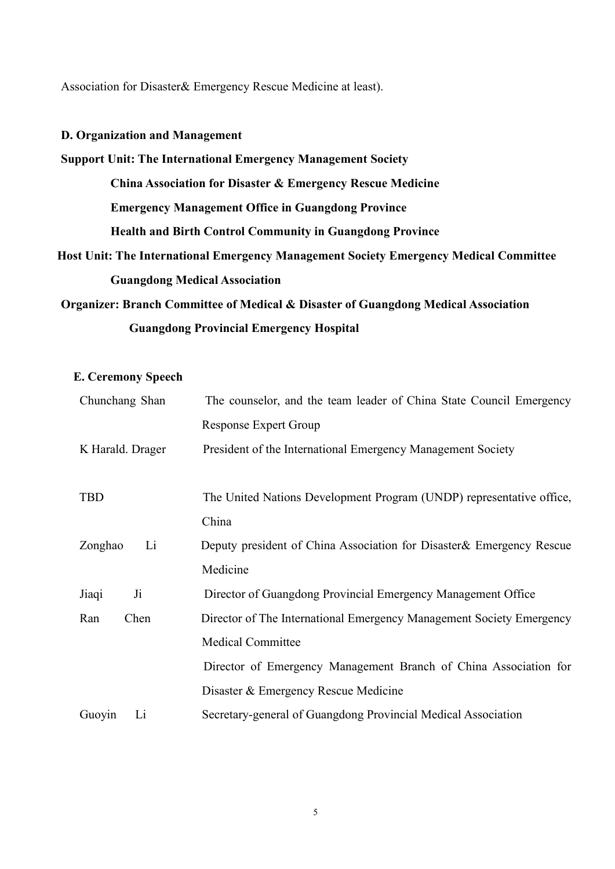Association for Disaster& Emergency Rescue Medicine at least).

#### **D. Organization and Management**

# **Support Unit: The International Emergency Management Society China Association for Disaster & Emergency Rescue Medicine Emergency Management Office in Guangdong Province Health and Birth Control Community in Guangdong Province Host Unit: The International Emergency Management Society Emergency Medical Committee Guangdong Medical Association**

**Organizer: Branch Committee of Medical & Disaster of Guangdong Medical Association Guangdong Provincial Emergency Hospital**

**E. Ceremony Speech**

| Chunchang Shan   | The counselor, and the team leader of China State Council Emergency   |
|------------------|-----------------------------------------------------------------------|
|                  | <b>Response Expert Group</b>                                          |
| K Harald. Drager | President of the International Emergency Management Society           |
|                  |                                                                       |
| <b>TBD</b>       | The United Nations Development Program (UNDP) representative office,  |
|                  | China                                                                 |
| Li<br>Zonghao    | Deputy president of China Association for Disaster & Emergency Rescue |
|                  | Medicine                                                              |
| $J_i$<br>Jiaqi   | Director of Guangdong Provincial Emergency Management Office          |
| Chen<br>Ran      | Director of The International Emergency Management Society Emergency  |
|                  | <b>Medical Committee</b>                                              |
|                  | Director of Emergency Management Branch of China Association for      |
|                  | Disaster & Emergency Rescue Medicine                                  |
| Guoyin<br>Li     | Secretary-general of Guangdong Provincial Medical Association         |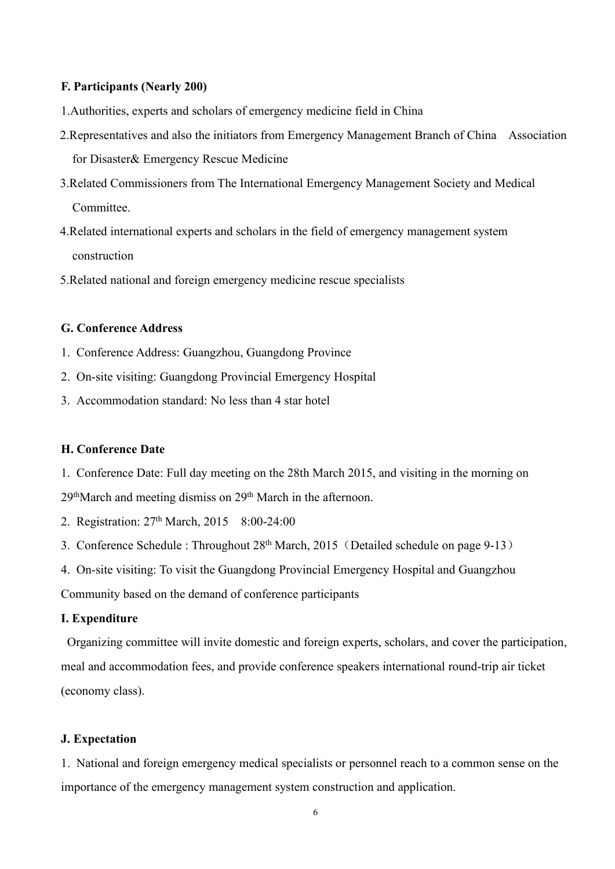#### **F. Participants (Nearly 200)**

- 1. Authorities, experts and scholars of emergency medicine field in China
- 2.Representatives and also the initiators from Emergency Management Branch of China Association for Disaster& Emergency Rescue Medicine
- 3.Related Commissioners from The International Emergency Management Society and Medical **Committee**
- 4.Related international experts and scholars in the field of emergency management system construction
- 5.Related national and foreign emergency medicine rescue specialists

#### **G. Conference Address**

- 1. Conference Address: Guangzhou, Guangdong Province
- 2. On-site visiting: Guangdong Provincial Emergency Hospital
- 3. Accommodation standard: No less than 4 star hotel

#### **H. Conference Date**

- 1. Conference Date: Full day meeting on the 28th March 2015, and visiting in the morning on 29thMarch and meeting dismiss on 29th March in the afternoon.
- 2. Registration: 27th March, 2015 8:00-24:00
- 3. Conference Schedule : Throughout 28<sup>th</sup> March, 2015 (Detailed schedule on page 9-13)
- 4. On-site visiting: To visit the Guangdong Provincial Emergency Hospital and Guangzhou

Community based on the demand of conference participants

#### **I. Expenditure**

Organizing committee will invite domestic and foreign experts, scholars, and cover the participation, meal and accommodation fees, and provide conference speakers international round-trip air ticket (economy class).

#### **J. Expectation**

1. National and foreign emergency medical specialists or personnel reach to a common sense on the importance of the emergency management system construction and application.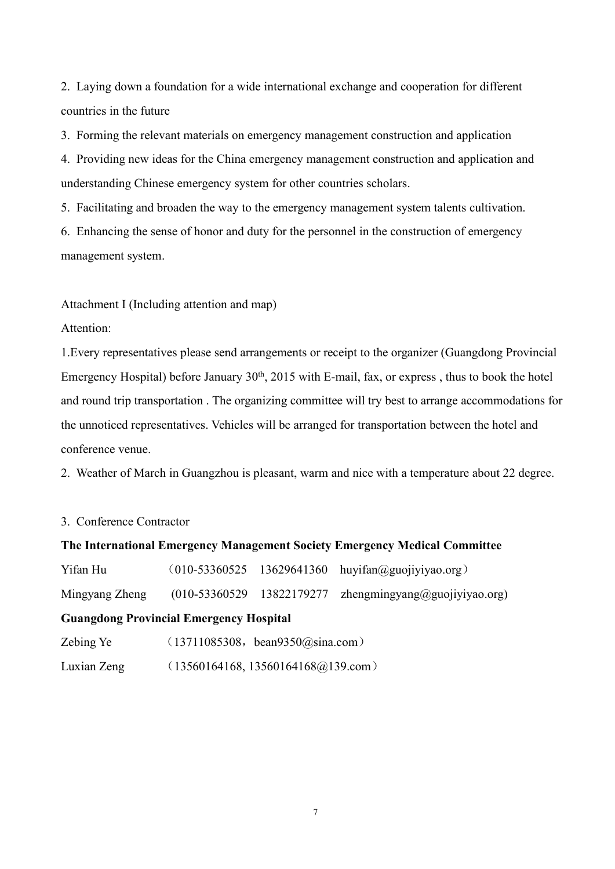2. Laying down a foundation for a wide international exchange and cooperation for different countries in the future

3. Forming the relevant materials on emergency management construction and application

4. Providing new ideas for the China emergency management construction and application and understanding Chinese emergency system for other countries scholars.

5. Facilitating and broaden the way to the emergency management system talents cultivation.

6. Enhancing the sense of honor and duty for the personnel in the construction of emergency management system.

Attachment I (Including attention and map)

Attention:

1. Every representatives please send arrangements or receipt to the organizer (Guangdong Provincial Emergency Hospital) before January  $30<sup>th</sup>$ ,  $2015$  with E-mail, fax, or express, thus to book the hotel and round trip transportation . The organizing committee will try best to arrange accommodations for the unnoticed representatives. Vehicles will be arranged for transportation between the hotel and conference venue.

2. Weather of March in Guangzhou is pleasant, warm and nice with a temperature about 22 degree.

3. Conference Contractor

| The International Emergency Management Society Emergency Medical Committee |                                    |  |                                           |  |
|----------------------------------------------------------------------------|------------------------------------|--|-------------------------------------------|--|
| Yifan Hu                                                                   | $(010 - 53360525$                  |  | 13629641360 huyifan@guojiyiyao.org)       |  |
| Mingyang Zheng                                                             | $(010 - 53360529)$                 |  | 13822179277 zhengmingyang@guojiyiyao.org) |  |
| <b>Guangdong Provincial Emergency Hospital</b>                             |                                    |  |                                           |  |
| Zebing Ye                                                                  | (13711085308, beam9350(a)sina.com) |  |                                           |  |
| Luxian Zeng                                                                | (13560164168, 13560164168@139.com) |  |                                           |  |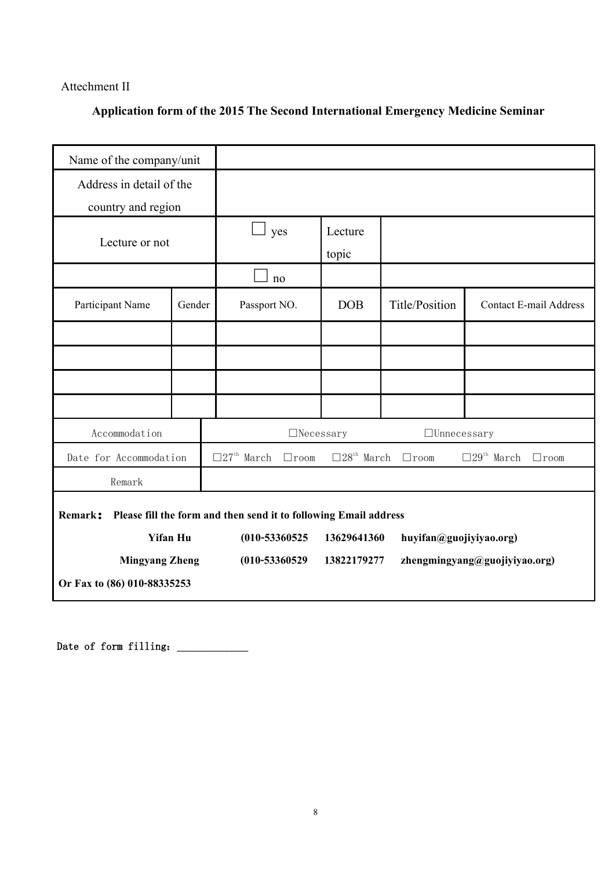#### Attechment II

## **Application form of the 2015 The Second International Emergency Medicine Seminar**

| Name of the company/unit    |                 |                                                                  |             |                                               |                                               |
|-----------------------------|-----------------|------------------------------------------------------------------|-------------|-----------------------------------------------|-----------------------------------------------|
| Address in detail of the    |                 |                                                                  |             |                                               |                                               |
| country and region          |                 |                                                                  |             |                                               |                                               |
|                             |                 | ⊔<br>yes                                                         | Lecture     |                                               |                                               |
| Lecture or not              |                 |                                                                  | topic       |                                               |                                               |
|                             |                 | no                                                               |             |                                               |                                               |
| Participant Name            | Gender          | Passport NO.                                                     | DOB         | Title/Position                                | <b>Contact E-mail Address</b>                 |
|                             |                 |                                                                  |             |                                               |                                               |
|                             |                 |                                                                  |             |                                               |                                               |
|                             |                 |                                                                  |             |                                               |                                               |
|                             |                 |                                                                  |             |                                               |                                               |
| Accommodation               |                 | $\Box$ Necessary                                                 |             | $\Box$ Unnecessary                            |                                               |
| Date for Accommodation      |                 | $\Box 27^{\text{th}}$ March<br>$\Box$ room                       |             | $\square 28^{\text{th}}$ March $\square$ room | $\Box 29^{\text{th}}$ March $\quad \Box$ room |
| Remark                      |                 |                                                                  |             |                                               |                                               |
| Remark:                     |                 | Please fill the form and then send it to following Email address |             |                                               |                                               |
|                             | <b>Yifan Hu</b> | $(010 - 53360525$                                                | 13629641360 | huyifan@guojiyiyao.org)                       |                                               |
| <b>Mingyang Zheng</b>       |                 | $(010 - 53360529$                                                | 13822179277 |                                               | zhengmingyang@guojiyiyao.org)                 |
| Or Fax to (86) 010-88335253 |                 |                                                                  |             |                                               |                                               |

Date of form filling:\_\_\_\_\_\_\_\_\_\_\_\_\_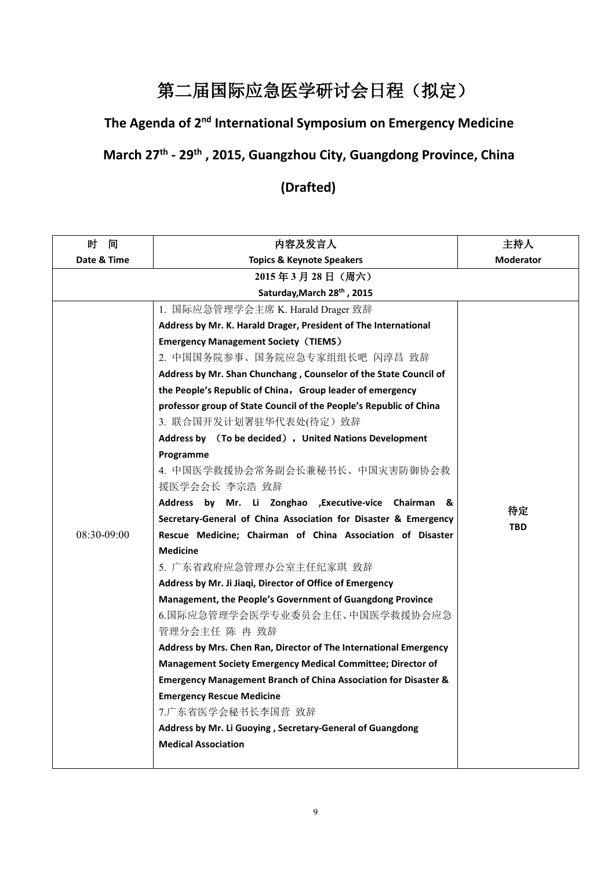# 第二届国际应急医学研讨会日程(拟定)

### **The Agenda of 2 nd International Symposium on Emergency Medicine**

## **March 27th - 29th , 2015, Guangzhou City, Guangdong Province, China**

## **(Drafted)**

| 时<br>间      | 内容及发言人                                                                     | 主持人              |  |
|-------------|----------------------------------------------------------------------------|------------------|--|
| Date & Time | <b>Topics &amp; Keynote Speakers</b>                                       | <b>Moderator</b> |  |
|             | 2015年3月28日 (周六)                                                            |                  |  |
|             | Saturday, March 28th, 2015                                                 |                  |  |
|             | 1. 国际应急管理学会主席 K. Harald Drager 致辞                                          |                  |  |
|             | Address by Mr. K. Harald Drager, President of The International            |                  |  |
|             | <b>Emergency Management Society (TIEMS)</b>                                | 待定               |  |
|             | 2. 中国国务院参事、国务院应急专家组组长吧 闪淳昌 致辞                                              |                  |  |
|             | Address by Mr. Shan Chunchang, Counselor of the State Council of           |                  |  |
|             | the People's Republic of China, Group leader of emergency                  |                  |  |
|             | professor group of State Council of the People's Republic of China         |                  |  |
|             | 3. 联合国开发计划署驻华代表处(待定)致辞                                                     |                  |  |
|             | Address by (To be decided), United Nations Development                     |                  |  |
|             | Programme                                                                  |                  |  |
|             | 4. 中国医学救援协会常务副会长兼秘书长、中国灾害防御协会救                                             |                  |  |
|             | 援医学会会长 李宗浩 致辞                                                              |                  |  |
|             | Address by Mr. Li Zonghao , Executive-vice Chairman &                      |                  |  |
|             | Secretary-General of China Association for Disaster & Emergency            | <b>TBD</b>       |  |
| 08:30-09:00 | Rescue Medicine; Chairman of China Association of Disaster                 |                  |  |
|             | <b>Medicine</b>                                                            |                  |  |
|             | 5. 广东省政府应急管理办公室主任纪家琪 致辞                                                    |                  |  |
|             | Address by Mr. Ji Jiaqi, Director of Office of Emergency                   |                  |  |
|             | Management, the People's Government of Guangdong Province                  |                  |  |
|             | 6.国际应急管理学会医学专业委员会主任、中国医学救援协会应急                                             |                  |  |
|             | 管理分会主任 陈 冉 致辞                                                              |                  |  |
|             | Address by Mrs. Chen Ran, Director of The International Emergency          |                  |  |
|             | Management Society Emergency Medical Committee; Director of                |                  |  |
|             | <b>Emergency Management Branch of China Association for Disaster &amp;</b> |                  |  |
|             | <b>Emergency Rescue Medicine</b>                                           |                  |  |
|             | 7.广东省医学会秘书长李国营 致辞                                                          |                  |  |
|             | Address by Mr. Li Guoying, Secretary-General of Guangdong                  |                  |  |
|             | <b>Medical Association</b>                                                 |                  |  |
|             |                                                                            |                  |  |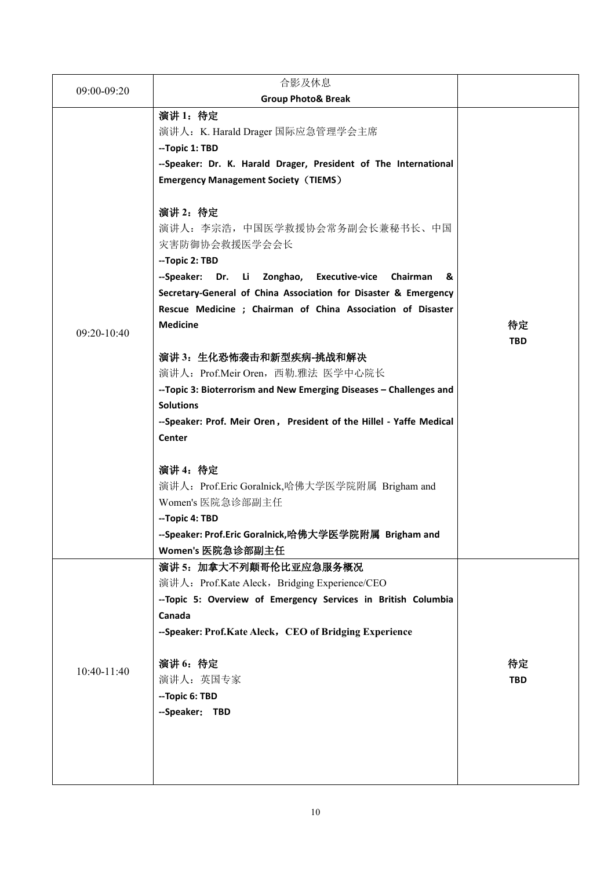|             | 合影及休息                                                                                                                          |            |
|-------------|--------------------------------------------------------------------------------------------------------------------------------|------------|
| 09:00-09:20 | <b>Group Photo&amp; Break</b>                                                                                                  |            |
|             | 演讲 1: 待定                                                                                                                       |            |
|             | 演讲人: K. Harald Drager 国际应急管理学会主席                                                                                               |            |
|             | --Topic 1: TBD                                                                                                                 |            |
|             | --Speaker: Dr. K. Harald Drager, President of The International                                                                |            |
|             | <b>Emergency Management Society (TIEMS)</b>                                                                                    |            |
|             | 演讲 2: 待定                                                                                                                       |            |
|             | 演讲人: 李宗浩, 中国医学救援协会常务副会长兼秘书长、中国                                                                                                 |            |
|             | 灾害防御协会救援医学会会长                                                                                                                  |            |
|             | --Topic 2: TBD                                                                                                                 |            |
|             | --Speaker: Dr. Li Zonghao, Executive-vice<br>Chairman &                                                                        |            |
|             | Secretary-General of China Association for Disaster & Emergency<br>Rescue Medicine ; Chairman of China Association of Disaster |            |
|             | <b>Medicine</b>                                                                                                                | 待定         |
| 09:20-10:40 |                                                                                                                                | <b>TBD</b> |
|             | 演讲 3: 生化恐怖袭击和新型疾病-挑战和解决                                                                                                        |            |
|             | 演讲人: Prof.Meir Oren, 西勒.雅法 医学中心院长                                                                                              |            |
|             | -- Topic 3: Bioterrorism and New Emerging Diseases - Challenges and                                                            |            |
|             | <b>Solutions</b>                                                                                                               |            |
|             | --Speaker: Prof. Meir Oren, President of the Hillel - Yaffe Medical                                                            |            |
|             | Center                                                                                                                         |            |
|             | 演讲 4: 待定                                                                                                                       |            |
|             | 演讲人: Prof.Eric Goralnick,哈佛大学医学院附属 Brigham and                                                                                 |            |
|             | Women's 医院急诊部副主任                                                                                                               |            |
|             | --Topic 4: TBD                                                                                                                 |            |
|             | --Speaker: Prof.Eric Goralnick,哈佛大学医学院附属  Brigham and                                                                          |            |
|             | Women's 医院急诊部副主任                                                                                                               |            |
|             | 演讲 5: 加拿大不列颠哥伦比亚应急服务概况                                                                                                         |            |
|             | 演讲人: Prof.Kate Aleck, Bridging Experience/CEO                                                                                  |            |
|             | -- Topic 5: Overview of Emergency Services in British Columbia                                                                 |            |
|             | Canada                                                                                                                         |            |
| 10:40-11:40 | --Speaker: Prof.Kate Aleck, CEO of Bridging Experience                                                                         |            |
|             | 演讲 6: 待定                                                                                                                       | 待定         |
|             | 演讲人: 英国专家                                                                                                                      | <b>TBD</b> |
|             | --Topic 6: TBD                                                                                                                 |            |
|             | --Speaker: TBD                                                                                                                 |            |
|             |                                                                                                                                |            |
|             |                                                                                                                                |            |
|             |                                                                                                                                |            |
|             |                                                                                                                                |            |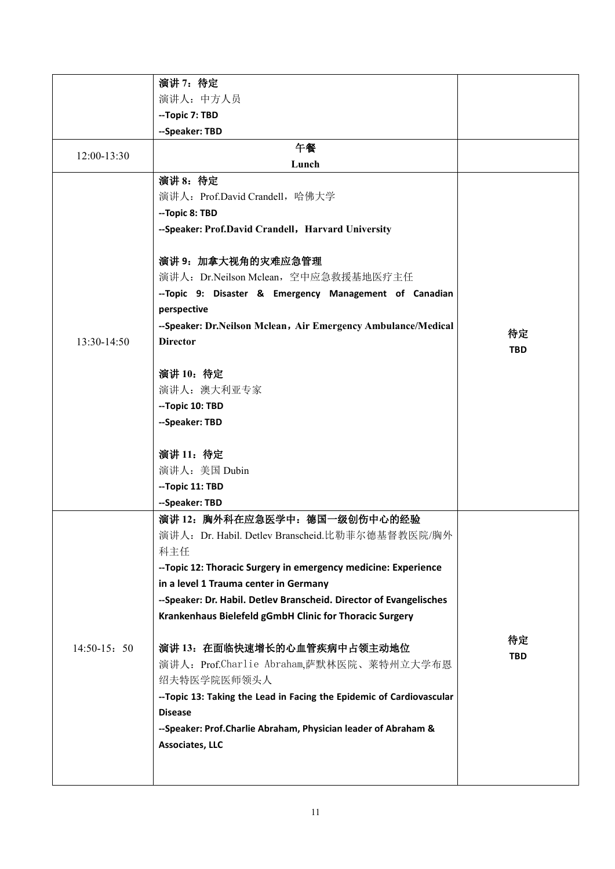|               | 演讲 7: 待定                                                              |            |
|---------------|-----------------------------------------------------------------------|------------|
|               | 演讲人: 中方人员                                                             |            |
|               | --Topic 7: TBD                                                        |            |
|               | --Speaker: TBD                                                        |            |
|               | 午餐                                                                    |            |
| 12:00-13:30   | Lunch                                                                 |            |
|               | 演讲 8: 待定                                                              |            |
|               | 演讲人: Prof.David Crandell, 哈佛大学                                        |            |
|               | --Topic 8: TBD                                                        |            |
|               | --Speaker: Prof.David Crandell, Harvard University                    |            |
|               | 演讲 9: 加拿大视角的灾难应急管理                                                    |            |
|               | 演讲人: Dr.Neilson Mclean, 空中应急救援基地医疗主任                                  |            |
|               | -- Topic 9: Disaster & Emergency Management of Canadian               |            |
|               | perspective                                                           |            |
|               | --Speaker: Dr.Neilson Mclean, Air Emergency Ambulance/Medical         | 待定         |
| 13:30-14:50   | <b>Director</b>                                                       | <b>TBD</b> |
|               |                                                                       |            |
|               | 演讲 10: 待定                                                             |            |
|               | 演讲人: 澳大利亚专家                                                           |            |
|               | --Topic 10: TBD                                                       |            |
|               | --Speaker: TBD                                                        |            |
|               | 演讲 11: 待定                                                             |            |
|               | 演讲人: 美国 Dubin                                                         |            |
|               | --Topic 11: TBD                                                       |            |
|               | --Speaker: TBD                                                        |            |
|               | 演讲 12: 胸外科在应急医学中: 德国一级创伤中心的经验                                         |            |
|               | 演讲人: Dr. Habil. Detlev Branscheid. 比勒菲尔德基督教医院/胸外                      |            |
|               | 科主任                                                                   |            |
|               | -- Topic 12: Thoracic Surgery in emergency medicine: Experience       |            |
|               | in a level 1 Trauma center in Germany                                 |            |
|               | --Speaker: Dr. Habil. Detlev Branscheid. Director of Evangelisches    |            |
|               | Krankenhaus Bielefeld gGmbH Clinic for Thoracic Surgery               |            |
| $14:50-15:50$ | 演讲 13: 在面临快速增长的心血管疾病中占领主动地位                                           | 待定         |
|               | 演讲人: Prof.Charlie Abraham,萨默林医院、莱特州立大学布恩                              | <b>TBD</b> |
|               | 绍夫特医学院医师领头人                                                           |            |
|               | -- Topic 13: Taking the Lead in Facing the Epidemic of Cardiovascular |            |
|               | <b>Disease</b>                                                        |            |
|               | --Speaker: Prof.Charlie Abraham, Physician leader of Abraham &        |            |
|               | Associates, LLC                                                       |            |
|               |                                                                       |            |
|               |                                                                       |            |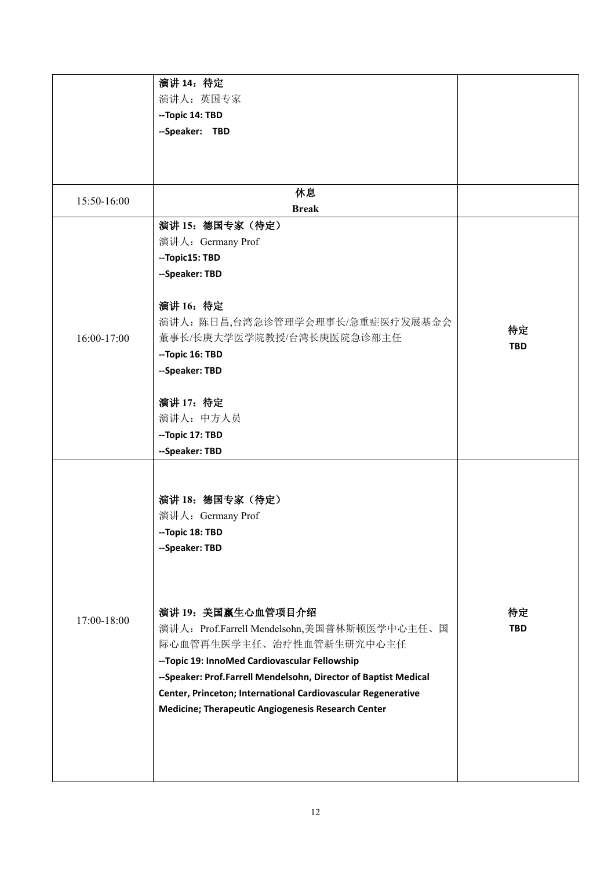|             | 演讲 14: 待定                                                       |            |
|-------------|-----------------------------------------------------------------|------------|
|             | 演讲人: 英国专家                                                       |            |
|             | --Topic 14: TBD                                                 |            |
|             | --Speaker: TBD                                                  |            |
|             |                                                                 |            |
|             |                                                                 |            |
| 15:50-16:00 | 休息                                                              |            |
|             | <b>Break</b>                                                    |            |
|             | 演讲 15: 德国专家(待定)                                                 |            |
|             | 演讲人: Germany Prof                                               |            |
|             | --Topic15: TBD                                                  |            |
|             | --Speaker: TBD                                                  |            |
|             | 演讲 16: 待定                                                       |            |
|             | 演讲人: 陈日昌,台湾急诊管理学会理事长/急重症医疗发展基金会                                 |            |
| 16:00-17:00 | 董事长/长庚大学医学院教授/台湾长庚医院急诊部主任                                       | 待定         |
|             | --Topic 16: TBD                                                 | <b>TBD</b> |
|             | --Speaker: TBD                                                  |            |
|             |                                                                 |            |
|             | 演讲 17: 待定                                                       |            |
|             | 演讲人: 中方人员                                                       |            |
|             | --Topic 17: TBD                                                 |            |
|             | --Speaker: TBD                                                  |            |
|             |                                                                 |            |
|             | 演讲 18: 德国专家(待定)                                                 |            |
|             | 演讲人: Germany Prof                                               |            |
|             | --Topic 18: TBD                                                 |            |
|             | --Speaker: TBD                                                  |            |
|             |                                                                 |            |
|             |                                                                 |            |
| 17:00-18:00 | 演讲 19: 美国赢生心血管项目介绍                                              | 待定         |
|             | 演讲人: Prof.Farrell Mendelsohn,美国普林斯顿医学中心主任、国                     | <b>TBD</b> |
|             | 际心血管再生医学主任、治疗性血管新生研究中心主任                                        |            |
|             | -- Topic 19: InnoMed Cardiovascular Fellowship                  |            |
|             | --Speaker: Prof.Farrell Mendelsohn, Director of Baptist Medical |            |
|             | Center, Princeton; International Cardiovascular Regenerative    |            |
|             | Medicine; Therapeutic Angiogenesis Research Center              |            |
|             |                                                                 |            |
|             |                                                                 |            |
|             |                                                                 |            |